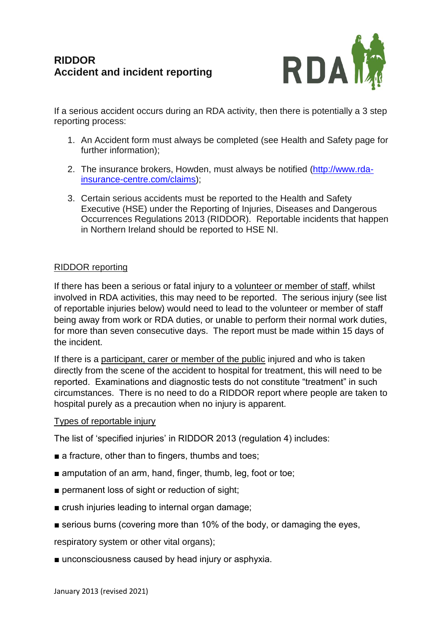

If a serious accident occurs during an RDA activity, then there is potentially a 3 step reporting process:

- 1. An Accident form must always be completed (see Health and Safety page for further information);
- 2. The insurance brokers, Howden, must always be notified [\(http://www.rda](http://www.rda-insurance-centre.com/claims)[insurance-centre.com/claims\)](http://www.rda-insurance-centre.com/claims);
- 3. Certain serious accidents must be reported to the Health and Safety Executive (HSE) under the Reporting of Injuries, Diseases and Dangerous Occurrences Regulations 2013 (RIDDOR). Reportable incidents that happen in Northern Ireland should be reported to HSE NI.

## RIDDOR reporting

If there has been a serious or fatal injury to a volunteer or member of staff, whilst involved in RDA activities, this may need to be reported. The serious injury (see list of reportable injuries below) would need to lead to the volunteer or member of staff being away from work or RDA duties, or unable to perform their normal work duties, for more than seven consecutive days. The report must be made within 15 days of the incident.

If there is a participant, carer or member of the public injured and who is taken directly from the scene of the accident to hospital for treatment, this will need to be reported. Examinations and diagnostic tests do not constitute "treatment" in such circumstances. There is no need to do a RIDDOR report where people are taken to hospital purely as a precaution when no injury is apparent.

## Types of reportable injury

The list of 'specified injuries' in RIDDOR 2013 (regulation 4) includes:

- a fracture, other than to fingers, thumbs and toes;
- amputation of an arm, hand, finger, thumb, leg, foot or toe;
- permanent loss of sight or reduction of sight;
- crush injuries leading to internal organ damage;
- serious burns (covering more than 10% of the body, or damaging the eyes,

respiratory system or other vital organs);

■ unconsciousness caused by head injury or asphyxia.